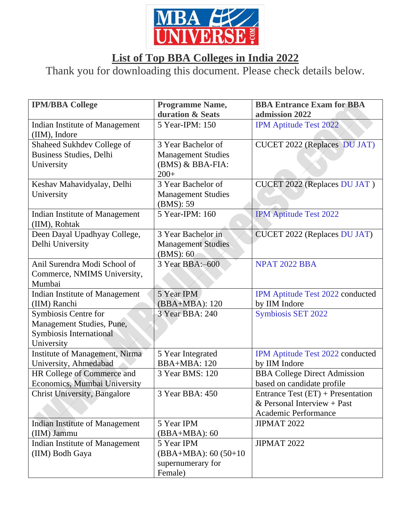

## **List of Top BBA Colleges in India 2022**

Thank you for downloading this document. Please check details below.

| <b>IPM/BBA College</b>                | <b>Programme Name,</b>    | <b>BBA Entrance Exam for BBA</b>    |
|---------------------------------------|---------------------------|-------------------------------------|
|                                       | duration & Seats          | admission 2022                      |
| Indian Institute of Management        | 5 Year-IPM: 150           | <b>IPM Aptitude Test 2022</b>       |
| (IIM), Indore                         |                           |                                     |
| Shaheed Sukhdev College of            | 3 Year Bachelor of        | <b>CUCET 2022 (Replaces DU JAT)</b> |
| Business Studies, Delhi               | <b>Management Studies</b> |                                     |
| University                            | (BMS) & BBA-FIA:          |                                     |
|                                       | $200+$                    |                                     |
| Keshav Mahavidyalay, Delhi            | 3 Year Bachelor of        | CUCET 2022 (Replaces DU JAT)        |
| University                            | <b>Management Studies</b> |                                     |
|                                       | (BMS): 59                 |                                     |
| Indian Institute of Management        | 5 Year-IPM: 160           | <b>IPM Aptitude Test 2022</b>       |
| (IIM), Rohtak                         |                           |                                     |
| Deen Dayal Upadhyay College,          | 3 Year Bachelor in        | <b>CUCET 2022 (Replaces DU JAT)</b> |
| Delhi University                      | <b>Management Studies</b> |                                     |
|                                       | (BMS): 60                 |                                     |
| Anil Surendra Modi School of          | 3 Year BBA:-600           | <b>NPAT 2022 BBA</b>                |
| Commerce, NMIMS University,           |                           |                                     |
| Mumbai                                |                           |                                     |
| Indian Institute of Management        | 5 Year IPM                | IPM Aptitude Test 2022 conducted    |
| (IIM) Ranchi                          | (BBA+MBA): 120            | by IIM Indore                       |
| Symbiosis Centre for                  | 3 Year BBA: 240           | <b>Symbiosis SET 2022</b>           |
| Management Studies, Pune,             |                           |                                     |
| Symbiosis International               |                           |                                     |
| University                            |                           |                                     |
| Institute of Management, Nirma        | 5 Year Integrated         | IPM Aptitude Test 2022 conducted    |
| University, Ahmedabad                 | BBA+MBA: 120              | by IIM Indore                       |
| HR College of Commerce and            | 3 Year BMS: 120           | <b>BBA College Direct Admission</b> |
| Economics, Mumbai University          |                           | based on candidate profile          |
| <b>Christ University, Bangalore</b>   | 3 Year BBA: 450           | Entrance Test $(ET)$ + Presentation |
|                                       |                           | & Personal Interview + Past         |
|                                       |                           | Academic Performance                |
| <b>Indian Institute of Management</b> | 5 Year IPM                | <b>JIPMAT 2022</b>                  |
| (IIM) Jammu                           | $(BBA+MBA): 60$           |                                     |
| Indian Institute of Management        | 5 Year IPM                | <b>JIPMAT 2022</b>                  |
| (IIM) Bodh Gaya                       | $(BBA+MBA): 60 (50+10)$   |                                     |
|                                       | supernumerary for         |                                     |
|                                       | Female)                   |                                     |